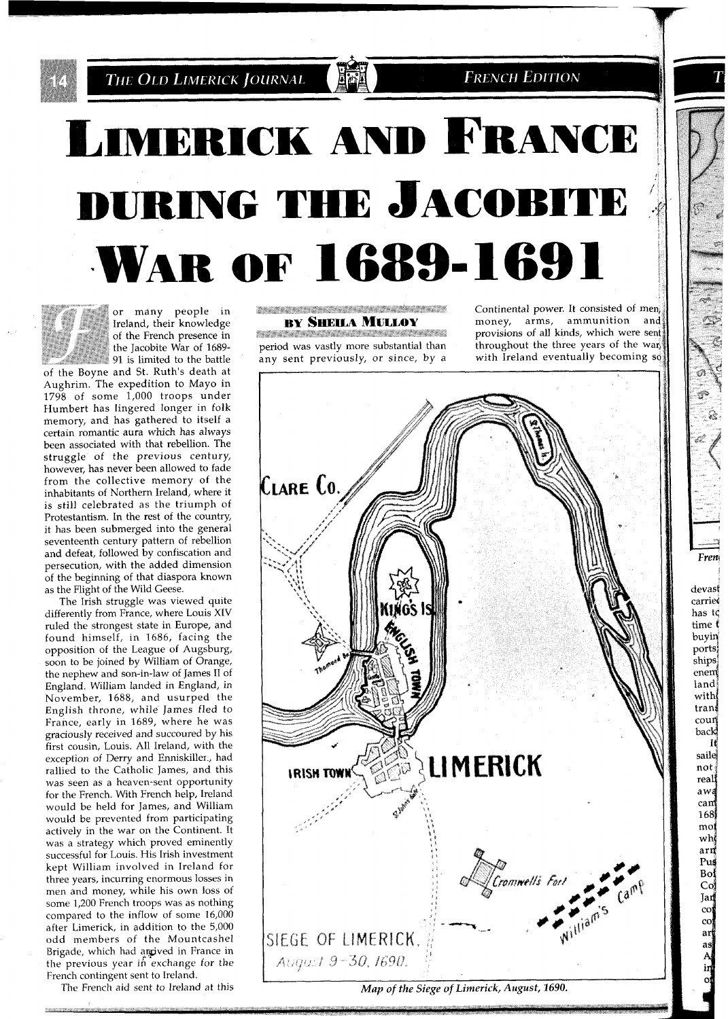**FRENCH EDITION** 

# **LIMERICK AND FRANCE DURING THE JACOBITE** !! **WAR OF 1689-1691**

Ha

or many people in Ireland, their knowledge of the French presence in the Jacobite War of 1689- 91 is limited to the battle

of the Boyne and St. Ruth's death at Aughrim. The expedition to Mayo in 1798 of some 1,000 troops under Humbert has lingered longer in folk memory, and has gathered to itself a certain romantic aura which has always been associated with that rebellion. The struggle of the previous century, however, has never been allowed to fade from the collective memory of the inhabitants of Northern Ireland, where it is still celebrated as the triumph of Protestantism. In the rest of the country, it has been submerged into the general seventeenth century pattern of rebellion and defeat, followed by confiscation and persecution, with the added dimension of the beginning of that diaspora known as the Flight of the Wild Geese.

The Irish struggle was viewed quite differently from France, where Louis XIV ruled the strongest state in Europe, and found himself, in 1686, facing the opposition of the League of Augsburg, soon to be joined by William of Orange, the nephew and son-in-law of James I1 of England. William landed in England, in November, 1688, and usurped the English throne, while James fled to France, early in 1689, where he was graciously received and succoured by his first cousin, Louis. All Ireland, with the exception of Derry and Enniskiller., had rallied to the Catholic James, and this was seen as a heaven-sent opportunity for the French. With French help, Ireland would be held for James, and William would be prevented from participating actively in the war on the Continent. It was a strategy which proved eminently successful for Louis. His Irish investment kept William involved in Ireland for three years, incurring enormous losses in men and money, while his own loss of some 1,200 French troops was as nothing compared to the inflow of some 16,000 after Limerick, in addition to the 5,000 odd members of the Mountcashel Brigade, which had anrived in France in the previous year  $\mathbf{r}$  exchange for the French contingent sent to Ireland.

The French aid sent to Ireland at this

period was vastly more substantial than  $\hat{t}$  throughout the three years of the ward any sent previously, or since, by a with Ireland eventually becoming so any sent previously, or since, by a

:\*:\*- a\*' :\*-ao., \* Continental power. It consisted of men **BY SHEILA MULLOY** money, arms, ammunition and provisions of all kinds, which were sent provisions of all kinds, which were sent throughout the three years of the war

Fren

devast carried has to time t buyin ports ships enem land with trans coun back H

> saile not

reali awa cam  $168$ mof wh arn Puş

> Boj Co Jan co.  $\overline{\text{co}}$ ar

> > as

A<br>in

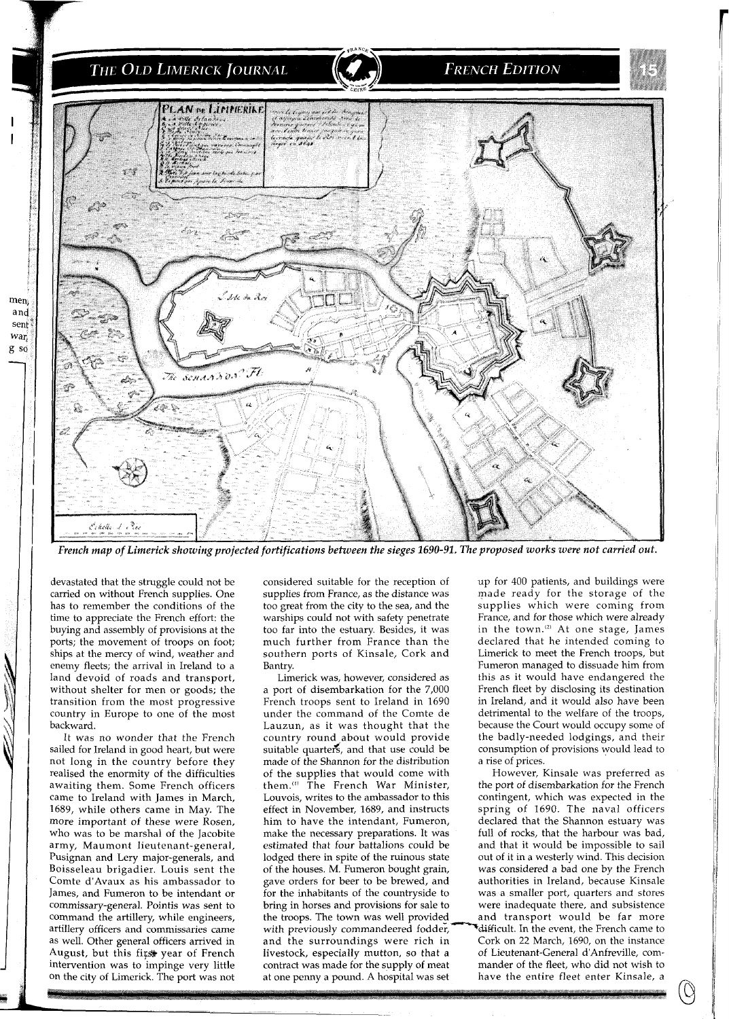

*French map of Limerick showing projected fortifications between the sieges* **1690-91.** *The proposed works were not carried out.* 

devastated that the struggle could not be carried on without French supplies. One has to remember the conditions of the time to appreciate the French effort: the buying and assembly of provisions at the ports; the movement of troops on foot; ships at the mercy of wind, weather and enemy fleets; the arrival in Ireland to a land devoid of roads and transport, without shelter for men or goods; the transition from the most progressive country in Europe to one of the most backward.

men and seni war, g so

> It was no wonder that the French sailed for Ireland in good heart, but were not long in the country before they realised the enormity of the difficulties awaiting them. Some French officers came to Ireland with James in March, 1689, while others came in May. The more important of these were Rosen, who was to be marshal of the Jacobite army, Maumont lieutenant-general, Pusignan and Lery major-generals, and Boisseleau brigadier. Louis sent the Comte d'Avaux as his ambassador to James, and Fumeron to be intendant or commissary-general. Pointis was sent to command the artillery, while engineers, artillery officers and commissaries came as well. Other general officers arrived in August, but this first year of French intervention was to impinge very little on the city of Limerick. The port was not

considered suitable for the reception of supplies from France, as the distance was too great from the city to the sea, and the warships could not with safety penetrate too far into the estuary. Besides, it was much further from France than the southern ports of Kinsale, Cork and Bantry.

Limerick was, however, considered as a port of disembarkation for the 7,000 French troops sent to Ireland in 1690 under the command of the Comte de Lauzun, as it was thought that the country round about would provide suitable quarters, and that use could be made of the Shannon for the distribution of the supplies that would come with them."' The French War Minister, Louvois, writes to the ambassador to this effect in November, 1689, and instructs him to have the intendant, Fumeron, make the necessary preparations. It was estimated that four battalions could be lodged there in spite of the ruinous state of the houses. M. Fumeron bought grain, gave orders for beer to be brewed, and for the inhabitants of the countryside to<br>bring in horses and provisions for sale to the troops. The town was well provided and transport would be far more with previously commandeered fodder. <br> **Califficult.** In the event, the French came to with previously commandeered fodder,<br>and the surroundings were rich in Cork on 22 March, 1690, on the instance and the surroundings were rich in Cork on 22 March, 1690, on the instance<br>livestock, especially mutton, so that a of Lieutenant-General d'Anfreville, comlivestock, especially mutton, so that a of Lieutenant-General d'Anfreville, com-<br>contract was made for the supply of meat mander of the fleet, who did not wish to contract was made for the supply of meat mander of the fleet, who did not wish to at one penny a pound. A hospital was set have the entire fleet enter Kinsale, a at one penny a pound. A hospital was set

up for 400 patients, and buildings were made ready for the storage of the supplies which were coming from France, and for those which were already in the town.'2' At one stage, James declared that he intended coming to Limerick to meet the French troops, but Fumeron managed to dissuade him from this as it would have endangered the French fleet by disclosing its destination in Ireland, and it would-also have been detrimental to the welfare of the troops, because the Court would occupy some of the badly-needed lodgings, and their consumption of provisions would lead to a rise of prices.

However, Kinsale was preferred as the port of disembarkation for the French contingent, which was expected in the spring of 1690. The naval officers declared that the Shannon estuary was full of rocks, that the harbour was bad, and that it would be impossible to sail out of it in a westerly wind. This decision was considered a bad one by the French authorities in Ireland, because Kinsale was a smaller port, quarters and stores were inadequate there, and subsistence<br>and transport would be far more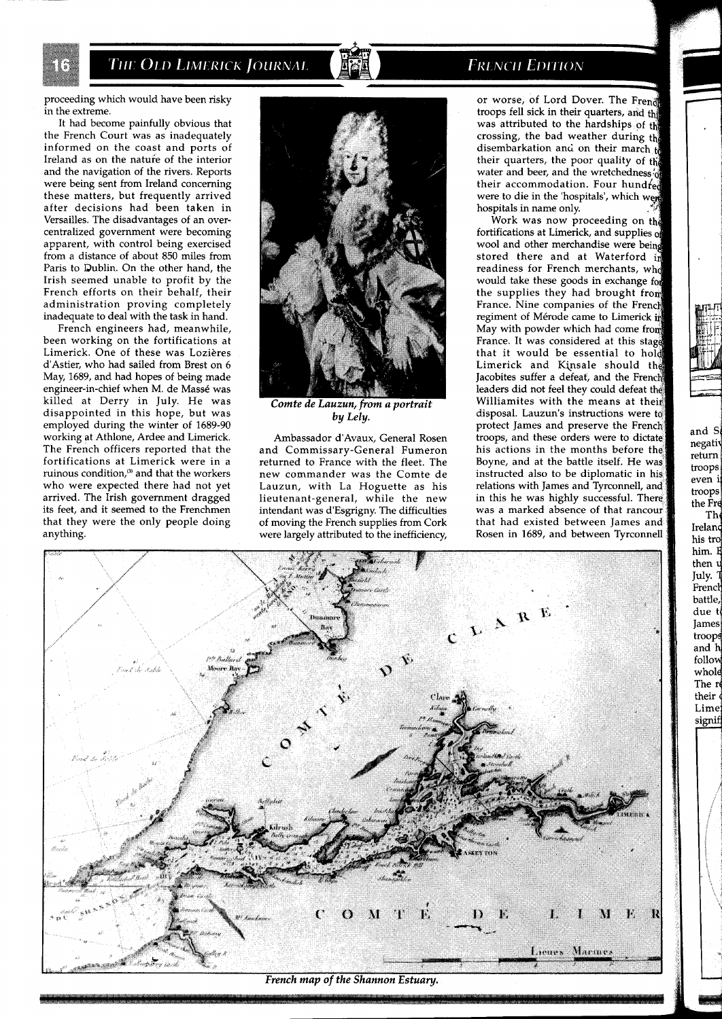**FRENCH EDITION** 

proceeding which would have been risky in the extreme.

It had become painfully obvious that the French Court was as inadequately informed on the coast and ports of Ireland as on the nature of the interior and the navigation of the rivers. Reports were being sent from Ireland concerning these matters, but frequently arrived after decisions had been taken in Versailles. The disadvantages of an overcentralized government were becoming apparent, with control being exercised from a distance of about 850 miles from Paris to Dublin. On the other hand, the Irish seemed unable to profit by the French efforts on their behalf, their administration proving completely inadequate to deal with the task in hand.

French engineers had, meanwhile, been working on the fortifications at Limerick. One of these was Lozières d'Astier, who had sailed from Brest on 6 May, 1689, and had hopes of being made engineer-in-chief when M. de Massé was killed at Derry in July. He was disappointed in this hope, but was employed during the winter of 1689-90 working at Athlone, Ardee and Limerick. The French officers reported that the fortifications at Limerick were in a ruinous condition,<sup>(3)</sup> and that the workers who were expected there had not yet arrived. The Irish government dragged its feet, and it seemed to the Frenchmen that they were the only people doing anything.



Comte de Lauzun, from a portrait **by** *Lely.* 

Ambassador d'Avaux, General Rosen and Commissary-General Fumeron returned to France with the fleet. The new commander was the Comte de Lauzun, with La Hoguette as his lieutenant-general, while the new intendant was d'Esgrigny. The difficulties of moving the French supplies from Cork were largely attributed to the inefficiency,

their accommodation. Four hundred were to die in the 'hospitals', which w hospitals in name only. or worse, of Lord Dover. The Frend troops fell sick in their quarters, and the was attributed to the hardships of the crossing, the bad weather during  $th^{\dagger}_{0}$ disembarkation and on their march  $\frac{1}{10}$ their quarters, the poor quality of the water and beer, and the wretchedness.

Work was now proceeding on the fortifications at Limerick, and supplies wool and other merchandise were being stored there and at Waterford in readiness for French merchants, who would take these goods in exchange for the supplies they had brought from France. Nine companies of the Fr regiment of Mérode came to Limerick in May with powder which had come f France. It was considered at this stage that it would be essential to h Limerick and Kinsale should the Jacobites suffer a defeat, and the French leaders did not feel they could defeat Williamites with the means at their disposal. Lauzun's instructions were to protect James and preserve the French troops, and these orders were to dicta his actions in the months before the Boyne, and at the battle itself. He instructed also to be diplomatic in relations with James and Tyrconnell, in this he was highly successful. There was a marked absence of that ranco that had existed between James an Rosen in 1689, and between Tyrconne

and <sup>E</sup> negati return troops even troop: the Fr Th Irelan his tro<br>him. E

then u July. French battle,

due t James troops and h follow whole The re their o Lime signif



French map of the Shannon Estuary.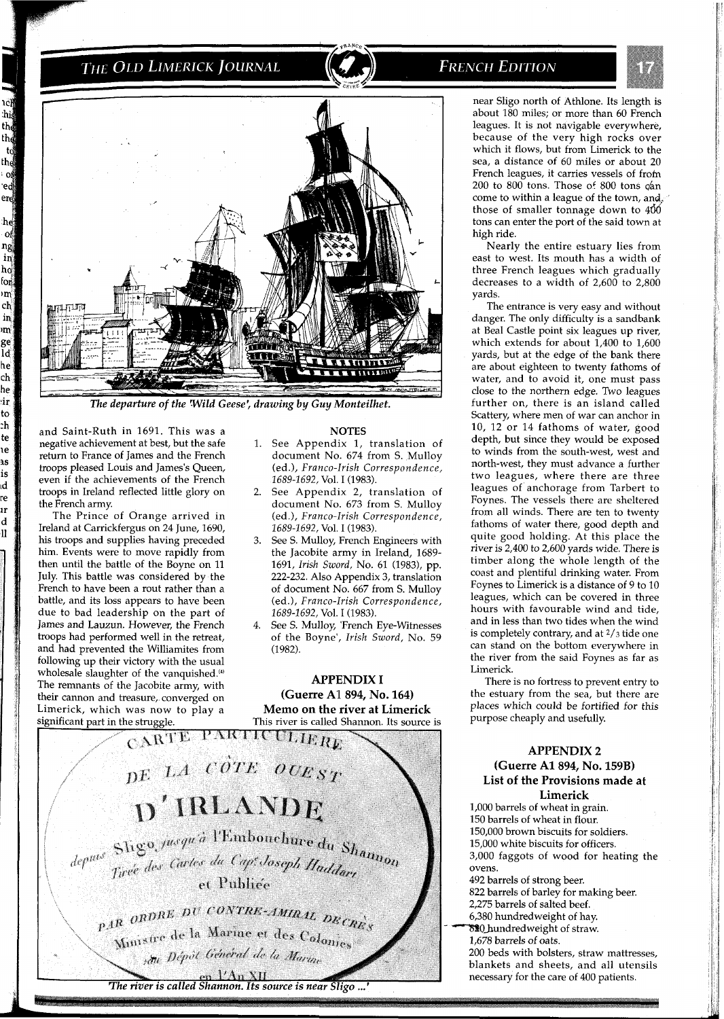## **FRENCH EDITION**





The departure of the 'Wild Geese', drawing by Guy Monteilhet.

and Saint-Ruth in 1691. This was a **NOTES** negative achievement at best, but the safe return to France of James and the French troops pleased Louis and James's Queen, even if the achievements of the French troops in Ireland reflected little glory on the French army.

 $\Omega$ ere :he of ng in ho for ۱m  $ch$ 

in ۱m ge Īd he  $ch$ he

ir. to ch. te ١ė λS is ιđ re ır  $\mathbf d$  $\mathbf{u}$ 

The Prince of Orange arrived in Ireland at Carrickfergus on 24 June, 1690, his troops and supplies having preceded him. Events were to move rapidly from then until the battle of the Boyne on 11 July. This battle was considered by the French to have been a rout rather than a battle, and its loss appears to have been due to bad leadership on the part of James and Lauzun. However, the French troops had performed well in the retreat, and had prevented the Williamites from following up their victory with the usual wholesale slaughter of the vanquished.<sup>(4)</sup> The remnants of the Jacobite army, with their cannon and treasure, converged on Limerick, which was now to play a significant part in the struggle.

- 1. See Appendix 1, translation of document No. 674 from S. Mulloy (ed.), *Franco-Irish Correspondence,*  1689-1692, Vol. I (1983).
- 2. See Appendix 2, translation of document No. 673 from S. Mulloy (ed.), *Franco-Irish Correspondence,*  1689-1692, Vol. *I* (1983).
- See S. Mulloy, French Engineers with the Jacobite army in Ireland, 1689- 1691, *Irish Sword,* No. 61 (1983), pp. 222-232. Also Appendix 3, translation of document No. 667 from S. Mulloy (ed.), *Franco-Irish Correspondence,*  1689-1692, Vol. *I* (1983).
- 4. See S. Mulloy, 'French Eye-Witnesses of the Boyne', *Irish Sword,* No. 59 (1982).

**APPENDIX I (Guerre A1 894, No. 164) Memo on the river at Limerick** 



near Sligo north of Athlone. Its length is about 180 miles; or more than 60 French leagues. It is not navigable everywhere, because of the very high rocks over which it flows, but from Limerick to the sea, a distance of 60 miles or about 20 French leagues, it carries vessels of from 200 to 800 tons. Those of 800 tons can come to within a league of the town, and, those of smaller tonnage down to  $400$ tons can enter the port of the said town at high ride.

Nearly the entire estuary lies from east to west. Its mouth has a width of three French leagues which gradually decreases to a width of 2,600 to 2,800 yards.

The entrance is very easy and without danger. The only difficulty is a sandbank at Beal Castle point six leagues up river, which extends for about 1,400 to 1,600 yards, but at the edge of the bank there are about eighteen to twenty fathoms of water, and to avoid it, one must pass close to the northern edge. Two leagues further on, there is an island called Scattery, where men of war can anchor in 10, 12 or 14 fathoms of water, good depth, but since they would be exposed to winds from the south-west, west and north-west, they must advance a further two leagues, where there are three leagues of anchorage from Tarbert to Foynes. The vessels there are sheltered from all winds. There are ten to twenty fathoms of water there, good depth and quite good holding. At this place the river is 2,400 to 2,600 yards wide. There is timber along the whole length of the coast and plentiful drinking water. From Foynes to Limerick is a distance of 9 to 10 leagues, which can be covered in three hours with favourable wind and tide, and in less than two tides when the wind is completely contrary, and at **2/3** tide one can stand on the bottom everywhere in the river from the said Foynes as far as Limerick.

There is no fortress to prevent entry to the estuary from the sea, but there are places which could be fortified for this purpose cheaply and usefully.

#### **APPENDIX 2 (Guerre A1 894, No. 159B) List of the Provisions made at Limerick**

1,000 barrels of wheat in grain. 150 barrels of wheat in flour. 150,000 brown biscuits for soldiers. 15,000 white biscuits for officers. 3,000 faggots of wood for heating the ovens.

492 barrels of strong beer.

822 barrels of barley for making beer.

2,275 barrels of salted beef.

6,380 hundredweight of hay.

820 hundredweight of straw.

1,678 barrels of oats.

200 beds with bolsters, straw mattresses, blankets and sheets, and all utensils necessary for the care of 400 patients.